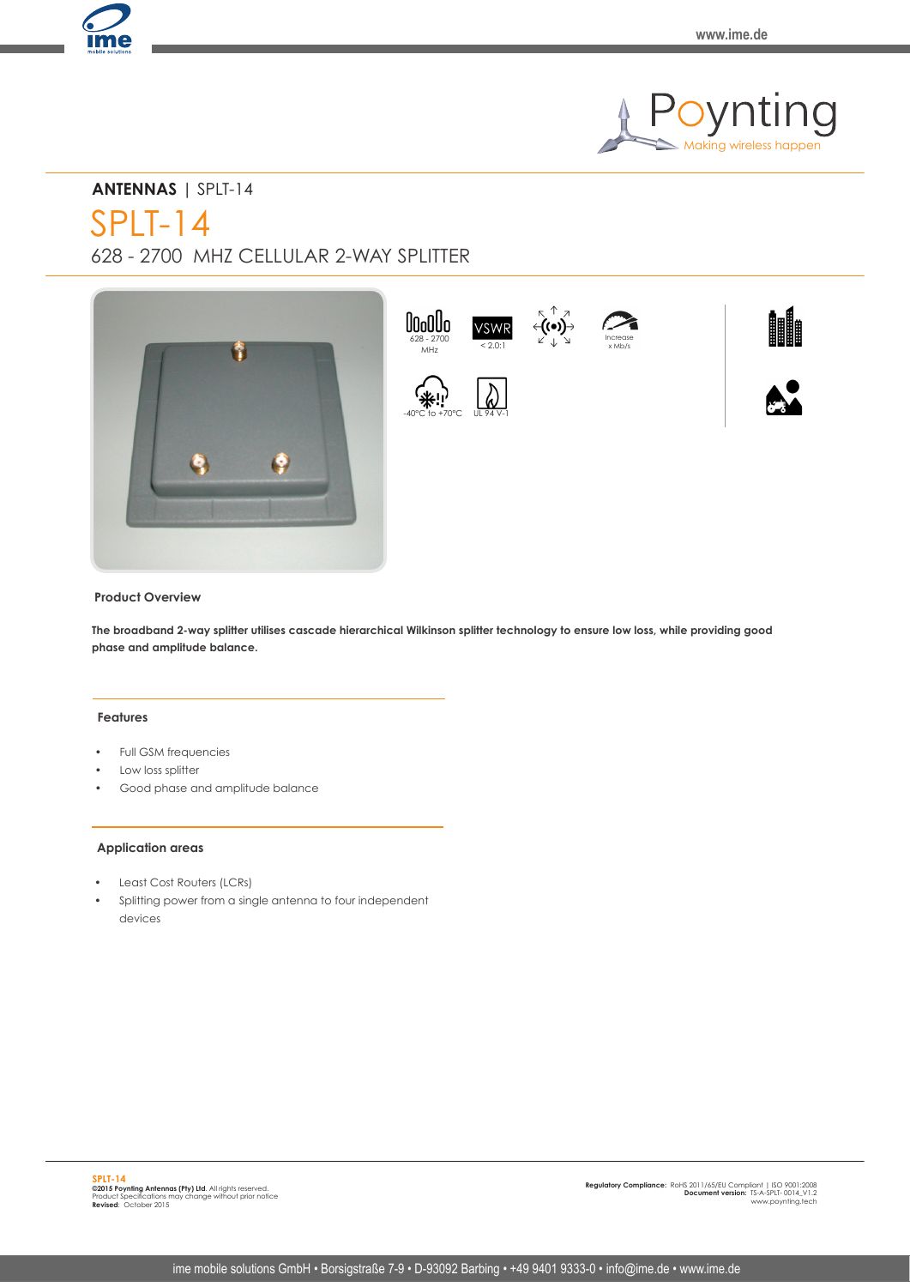

# **ANTENNAS** | SPLT-14

SPLT-14

628 - 2700 MHZ CELLULAR 2-WAY SPLITTER



### **Product Overview**

**The broadband 2-way splitter utilises cascade hierarchical Wilkinson splitter technology to ensure low loss, while providing good phase and amplitude balance.**

#### **Features**

- Full GSM frequencies
- Low loss splitter
- Good phase and amplitude balance

#### **Application areas**

- Least Cost Routers (LCRs)
- Splitting power from a single antenna to four independent devices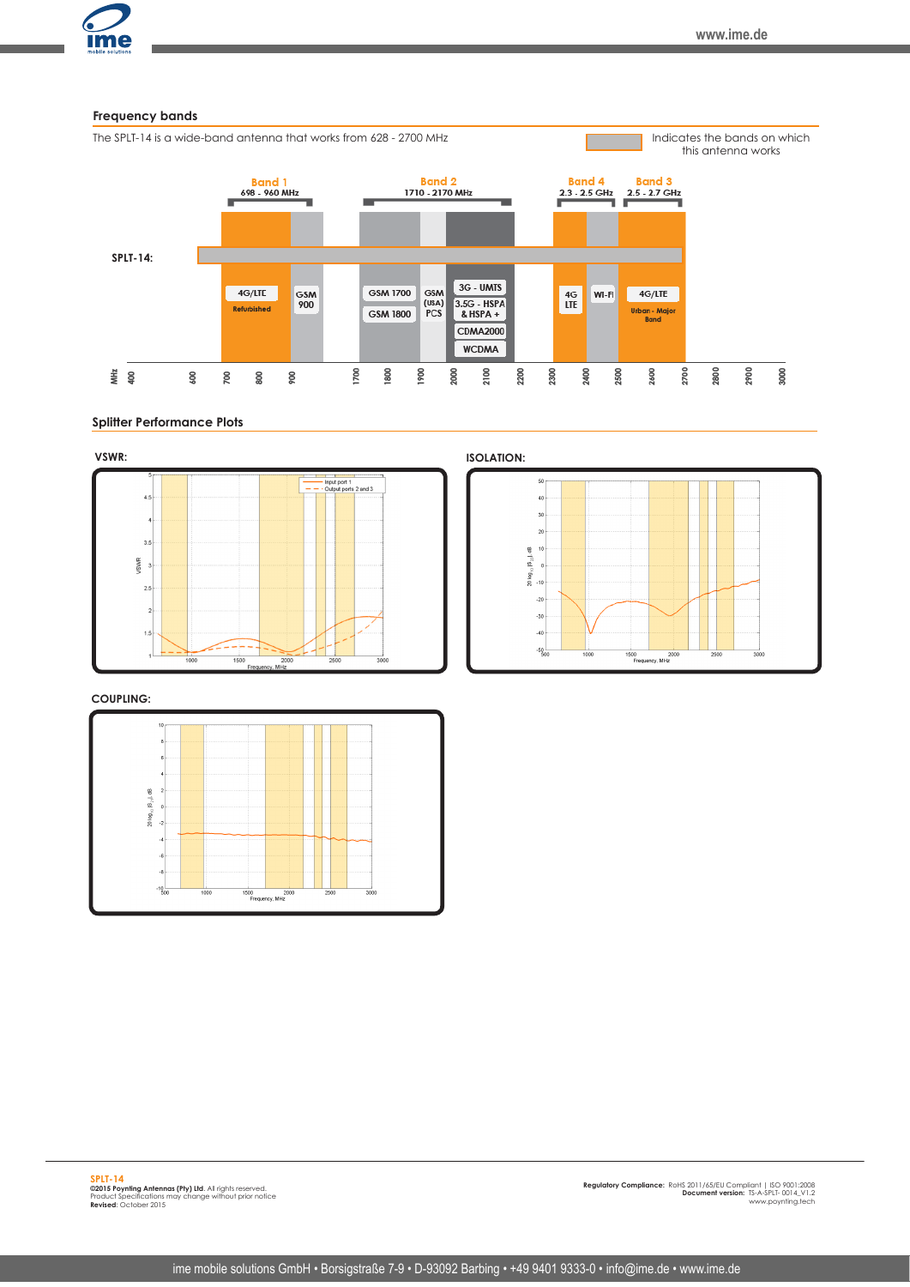

#### **Splitter Performance Plots**



**COUPLING:**



50  $40<sub>1</sub>$  $30$  $_{\rm 20}$  $\begin{array}{ccc}\n 20 & \log_{10} |S_{23}| & \text{dB} \\
\frac{1}{10} & 0 & \frac{1}{10}\n \end{array}$  $.20$  $-30$  $-40$  $-50$ 1500 2000<br>Frequency, MHz